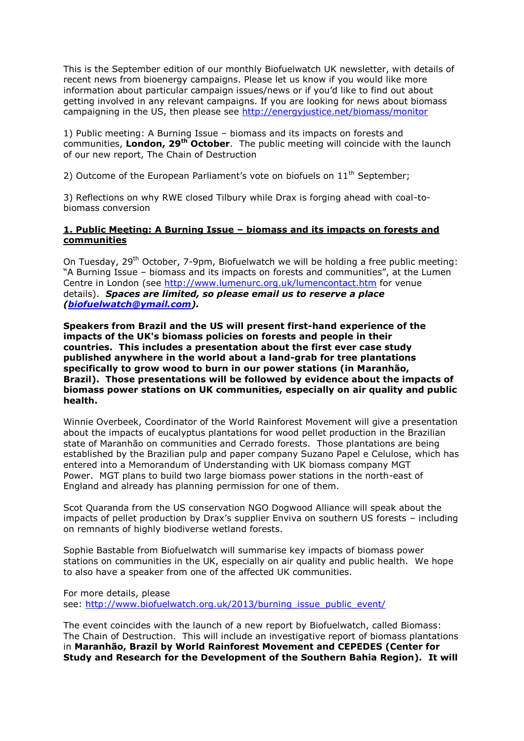This is the September edition of our monthly Biofuelwatch UK newsletter, with details of recent news from bioenergy campaigns. Please let us know if you would like more information about particular campaign issues/news or if you'd like to find out about getting involved in any relevant campaigns. If you are looking for news about biomass campaigning in the US, then please see <http://energyjustice.net/biomass/monitor>

1) Public meeting: A Burning Issue – biomass and its impacts on forests and communities, **London, 29th October**. The public meeting will coincide with the launch of our new report, The Chain of Destruction

2) Outcome of the European Parliament's vote on biofuels on  $11<sup>th</sup>$  September;

3) Reflections on why RWE closed Tilbury while Drax is forging ahead with coal-tobiomass conversion

## **1. Public Meeting: A Burning Issue – biomass and its impacts on forests and communities**

On Tuesday, 29<sup>th</sup> October, 7-9pm, Biofuelwatch we will be holding a free public meeting: "A Burning Issue – biomass and its impacts on forests and communities", at the Lumen Centre in London (see <http://www.lumenurc.org.uk/lumencontact.htm> for venue details). *Spaces are limited, so please email us to reserve a place [\(biofuelwatch@ymail.com\)](mailto:biofuelwatch@ymail.com).*

**Speakers from Brazil and the US will present first-hand experience of the impacts of the UK's biomass policies on forests and people in their countries. This includes a presentation about the first ever case study published anywhere in the world about a land-grab for tree plantations specifically to grow wood to burn in our power stations (in Maranhão, Brazil). Those presentations will be followed by evidence about the impacts of biomass power stations on UK communities, especially on air quality and public health.**

Winnie Overbeek, Coordinator of the World Rainforest Movement will give a presentation about the impacts of eucalyptus plantations for wood pellet production in the Brazilian state of Maranhão on communities and Cerrado forests. Those plantations are being established by the Brazilian pulp and paper company Suzano Papel e Celulose, which has entered into a Memorandum of Understanding with UK biomass company MGT Power. MGT plans to build two large biomass power stations in the north-east of England and already has planning permission for one of them.

Scot Quaranda from the US conservation NGO Dogwood Alliance will speak about the impacts of pellet production by Drax's supplier Enviva on southern US forests – including on remnants of highly biodiverse wetland forests.

Sophie Bastable from Biofuelwatch will summarise key impacts of biomass power stations on communities in the UK, especially on air quality and public health. We hope to also have a speaker from one of the affected UK communities.

For more details, please see: [http://www.biofuelwatch.org.uk/2013/burning\\_issue\\_public\\_event/](http://www.biofuelwatch.org.uk/2013/burning_issue_public_event/)

The event coincides with the launch of a new report by Biofuelwatch, called Biomass: The Chain of Destruction. This will include an investigative report of biomass plantations in **Maranhão, Brazil by World Rainforest Movement and CEPEDES (Center for Study and Research for the Development of the Southern Bahia Region). It will**